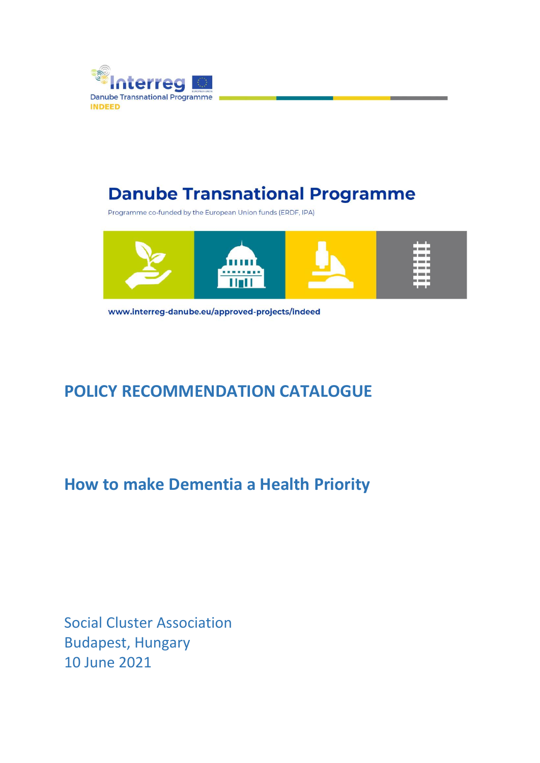

# **Danube Transnational Programme**

Programme co-funded by the European Union funds (ERDF, IPA)



www.interreg-danube.eu/approved-projects/indeed

# **POLICY RECOMMENDATION CATALOGUE**

# **How to make Dementia a Health Priority**

Social Cluster Association Budapest, Hungary 10 June 2021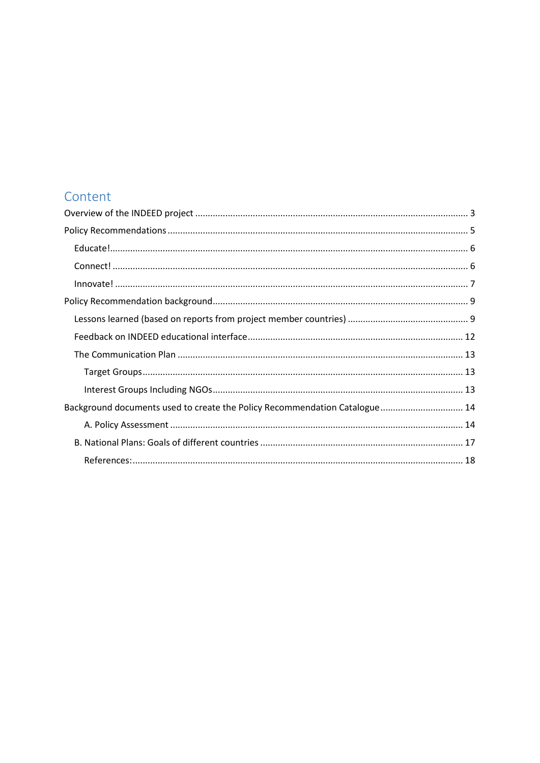## Content

| Background documents used to create the Policy Recommendation Catalogue 14 |  |
|----------------------------------------------------------------------------|--|
|                                                                            |  |
|                                                                            |  |
|                                                                            |  |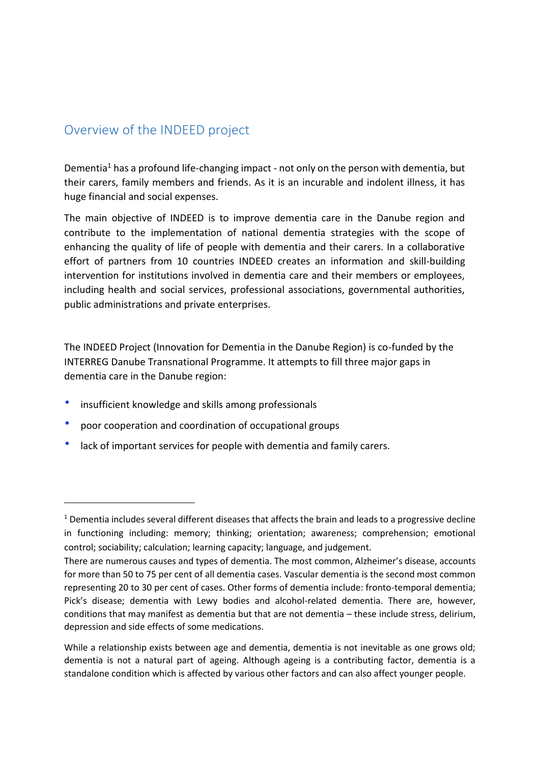### <span id="page-2-0"></span>Overview of the INDEED project

Dementia<sup>1</sup> has a profound life-changing impact - not only on the person with dementia, but their carers, family members and friends. As it is an incurable and indolent illness, it has huge financial and social expenses.

The main objective of INDEED is to improve dementia care in the Danube region and contribute to the implementation of national dementia strategies with the scope of enhancing the quality of life of people with dementia and their carers. In a collaborative effort of partners from 10 countries INDEED creates an information and skill-building intervention for institutions involved in dementia care and their members or employees, including health and social services, professional associations, governmental authorities, public administrations and private enterprises.

The INDEED Project (Innovation for Dementia in the Danube Region) is co-funded by the INTERREG Danube Transnational Programme. It attempts to fill three major gaps in dementia care in the Danube region:

- insufficient knowledge and skills among professionals
- poor cooperation and coordination of occupational groups
- lack of important services for people with dementia and family carers.

<sup>&</sup>lt;sup>1</sup> Dementia includes several different diseases that affects the brain and leads to a progressive decline in functioning including: memory; thinking; orientation; awareness; comprehension; emotional control; sociability; calculation; learning capacity; language, and judgement.

There are numerous causes and types of dementia. The most common, Alzheimer's disease, accounts for more than 50 to 75 per cent of all dementia cases. Vascular dementia is the second most common representing 20 to 30 per cent of cases. Other forms of dementia include: fronto-temporal dementia; Pick's disease; dementia with Lewy bodies and alcohol-related dementia. There are, however, conditions that may manifest as dementia but that are not dementia – these include stress, delirium, depression and side effects of some medications.

While a relationship exists between age and dementia, dementia is not inevitable as one grows old; dementia is not a natural part of ageing. Although ageing is a contributing factor, dementia is a standalone condition which is affected by various other factors and can also affect younger people.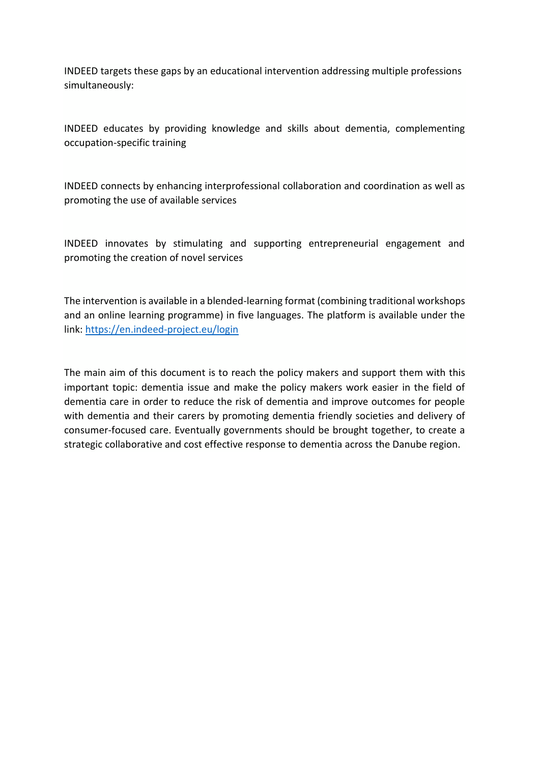INDEED targets these gaps by an educational intervention addressing multiple professions simultaneously:

INDEED educates by providing knowledge and skills about dementia, complementing occupation-specific training

INDEED connects by enhancing interprofessional collaboration and coordination as well as promoting the use of available services

INDEED innovates by stimulating and supporting entrepreneurial engagement and promoting the creation of novel services

The intervention is available in a blended-learning format (combining traditional workshops and an online learning programme) in five languages. The platform is available under the link:<https://en.indeed-project.eu/login>

The main aim of this document is to reach the policy makers and support them with this important topic: dementia issue and make the policy makers work easier in the field of dementia care in order to reduce the risk of dementia and improve outcomes for people with dementia and their carers by promoting dementia friendly societies and delivery of consumer-focused care. Eventually governments should be brought together, to create a strategic collaborative and cost effective response to dementia across the Danube region.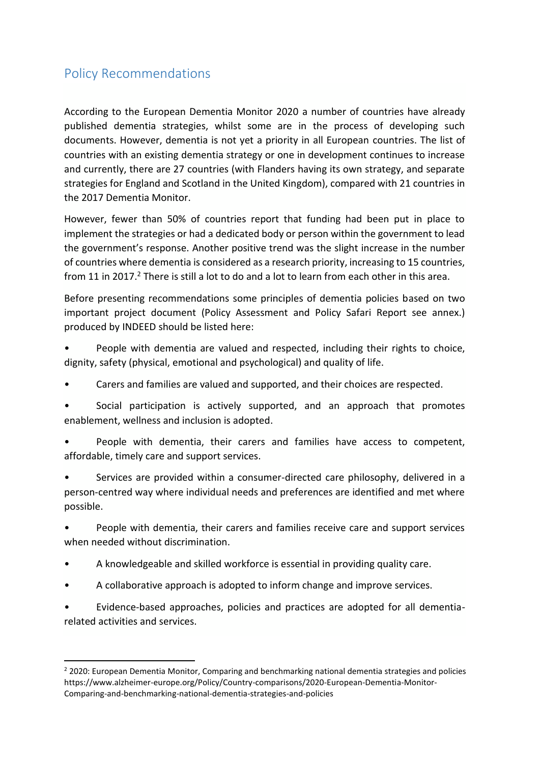## <span id="page-4-0"></span>Policy Recommendations

According to the European Dementia Monitor 2020 a number of countries have already published dementia strategies, whilst some are in the process of developing such documents. However, dementia is not yet a priority in all European countries. The list of countries with an existing dementia strategy or one in development continues to increase and currently, there are 27 countries (with Flanders having its own strategy, and separate strategies for England and Scotland in the United Kingdom), compared with 21 countries in the 2017 Dementia Monitor.

However, fewer than 50% of countries report that funding had been put in place to implement the strategies or had a dedicated body or person within the government to lead the government's response. Another positive trend was the slight increase in the number of countries where dementia is considered as a research priority, increasing to 15 countries, from 11 in 2017.<sup>2</sup> There is still a lot to do and a lot to learn from each other in this area.

Before presenting recommendations some principles of dementia policies based on two important project document (Policy Assessment and Policy Safari Report see annex.) produced by INDEED should be listed here:

People with dementia are valued and respected, including their rights to choice, dignity, safety (physical, emotional and psychological) and quality of life.

- Carers and families are valued and supported, and their choices are respected.
- Social participation is actively supported, and an approach that promotes enablement, wellness and inclusion is adopted.
- People with dementia, their carers and families have access to competent, affordable, timely care and support services.

• Services are provided within a consumer-directed care philosophy, delivered in a person-centred way where individual needs and preferences are identified and met where possible.

People with dementia, their carers and families receive care and support services when needed without discrimination.

- A knowledgeable and skilled workforce is essential in providing quality care.
- A collaborative approach is adopted to inform change and improve services.

• Evidence-based approaches, policies and practices are adopted for all dementiarelated activities and services.

<sup>&</sup>lt;sup>2</sup> 2020: European Dementia Monitor, Comparing and benchmarking national dementia strategies and policies https://www.alzheimer-europe.org/Policy/Country-comparisons/2020-European-Dementia-Monitor-Comparing-and-benchmarking-national-dementia-strategies-and-policies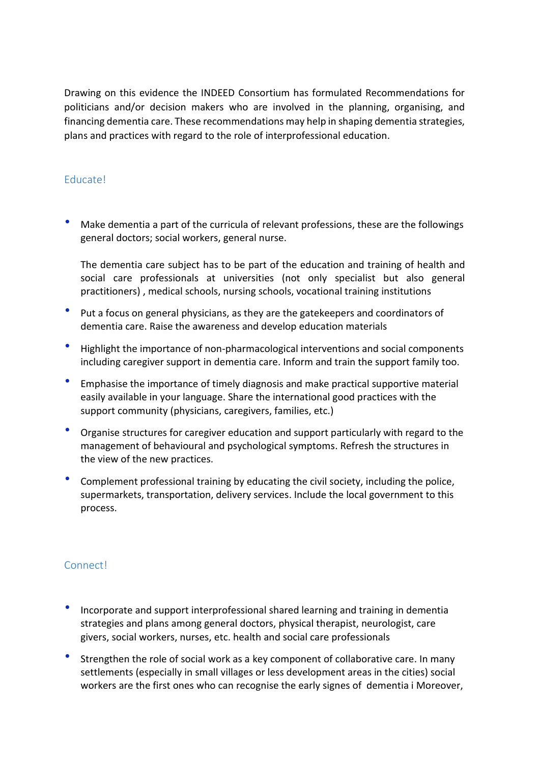Drawing on this evidence the INDEED Consortium has formulated Recommendations for politicians and/or decision makers who are involved in the planning, organising, and financing dementia care. These recommendations may help in shaping dementia strategies, plans and practices with regard to the role of interprofessional education.

#### <span id="page-5-0"></span>Educate!

• Make dementia a part of the curricula of relevant professions, these are the followings general doctors; social workers, general nurse.

The dementia care subject has to be part of the education and training of health and social care professionals at universities (not only specialist but also general practitioners) , medical schools, nursing schools, vocational training institutions

- Put a focus on general physicians, as they are the gatekeepers and coordinators of dementia care. Raise the awareness and develop education materials
- Highlight the importance of non-pharmacological interventions and social components including caregiver support in dementia care. Inform and train the support family too.
- Emphasise the importance of timely diagnosis and make practical supportive material easily available in your language. Share the international good practices with the support community (physicians, caregivers, families, etc.)
- Organise structures for caregiver education and support particularly with regard to the management of behavioural and psychological symptoms. Refresh the structures in the view of the new practices.
- Complement professional training by educating the civil society, including the police, supermarkets, transportation, delivery services. Include the local government to this process.

#### <span id="page-5-1"></span>Connect!

- Incorporate and support interprofessional shared learning and training in dementia strategies and plans among general doctors, physical therapist, neurologist, care givers, social workers, nurses, etc. health and social care professionals
- Strengthen the role of social work as a key component of collaborative care. In many settlements (especially in small villages or less development areas in the cities) social workers are the first ones who can recognise the early signes of dementia i Moreover,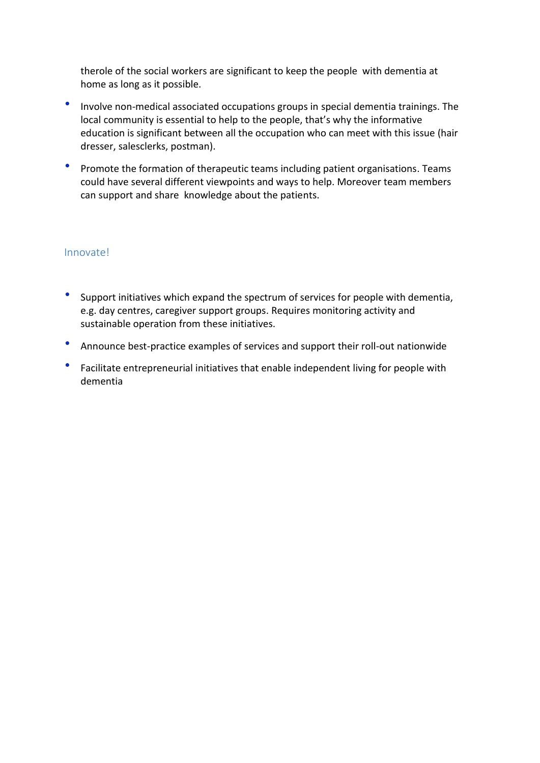therole of the social workers are significant to keep the people with dementia at home as long as it possible.

- Involve non-medical associated occupations groups in special dementia trainings. The local community is essential to help to the people, that's why the informative education is significant between all the occupation who can meet with this issue (hair dresser, salesclerks, postman).
- Promote the formation of therapeutic teams including patient organisations. Teams could have several different viewpoints and ways to help. Moreover team members can support and share knowledge about the patients.

#### <span id="page-6-0"></span>Innovate!

- Support initiatives which expand the spectrum of services for people with dementia, e.g. day centres, caregiver support groups. Requires monitoring activity and sustainable operation from these initiatives.
- Announce best-practice examples of services and support their roll-out nationwide
- Facilitate entrepreneurial initiatives that enable independent living for people with dementia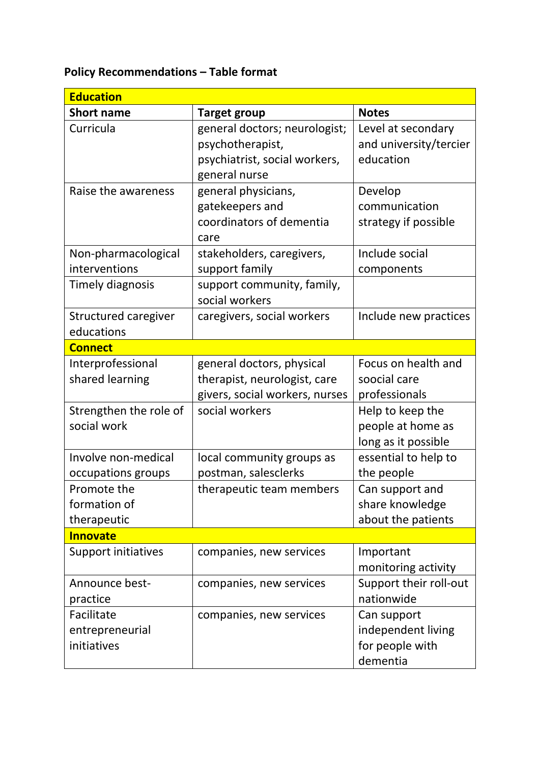## **Policy Recommendations – Table format**

| <b>Education</b>            |                                |                        |  |  |
|-----------------------------|--------------------------------|------------------------|--|--|
| <b>Short name</b>           | <b>Target group</b>            | <b>Notes</b>           |  |  |
| Curricula                   | general doctors; neurologist;  | Level at secondary     |  |  |
|                             | psychotherapist,               | and university/tercier |  |  |
|                             | psychiatrist, social workers,  | education              |  |  |
|                             | general nurse                  |                        |  |  |
| Raise the awareness         | general physicians,            | Develop                |  |  |
|                             | gatekeepers and                | communication          |  |  |
|                             | coordinators of dementia       | strategy if possible   |  |  |
|                             | care                           |                        |  |  |
| Non-pharmacological         | stakeholders, caregivers,      | Include social         |  |  |
| interventions               | support family                 | components             |  |  |
| <b>Timely diagnosis</b>     | support community, family,     |                        |  |  |
|                             | social workers                 |                        |  |  |
| <b>Structured caregiver</b> | caregivers, social workers     | Include new practices  |  |  |
| educations                  |                                |                        |  |  |
| <b>Connect</b>              |                                |                        |  |  |
| Interprofessional           | general doctors, physical      | Focus on health and    |  |  |
| shared learning             | therapist, neurologist, care   | soocial care           |  |  |
|                             | givers, social workers, nurses | professionals          |  |  |
| Strengthen the role of      | social workers                 | Help to keep the       |  |  |
| social work                 |                                | people at home as      |  |  |
|                             |                                | long as it possible    |  |  |
| Involve non-medical         | local community groups as      | essential to help to   |  |  |
| occupations groups          | postman, salesclerks           | the people             |  |  |
| Promote the                 | therapeutic team members       | Can support and        |  |  |
| formation of                |                                | share knowledge        |  |  |
| therapeutic                 |                                | about the patients     |  |  |
| <b>Innovate</b>             |                                |                        |  |  |
| Support initiatives         | companies, new services        | Important              |  |  |
|                             |                                | monitoring activity    |  |  |
| Announce best-              | companies, new services        | Support their roll-out |  |  |
| practice                    |                                | nationwide             |  |  |
| Facilitate                  | companies, new services        | Can support            |  |  |
| entrepreneurial             |                                | independent living     |  |  |
| initiatives                 |                                | for people with        |  |  |
|                             |                                | dementia               |  |  |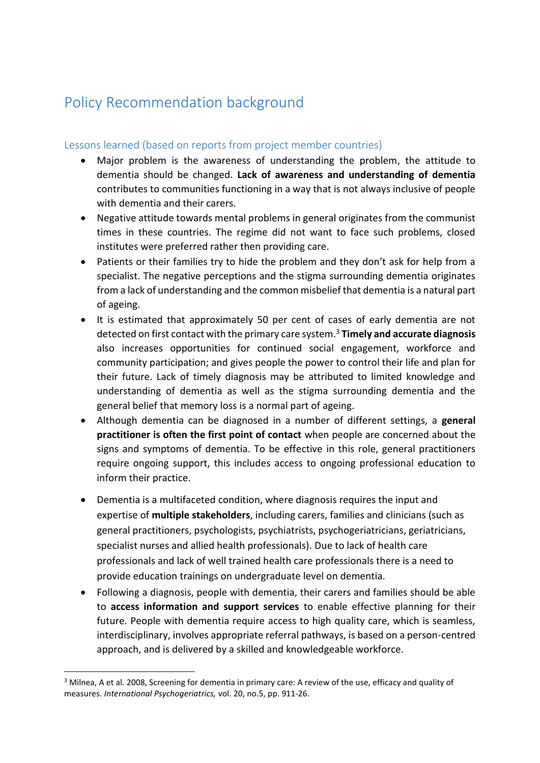## <span id="page-8-0"></span>Policy Recommendation background

#### <span id="page-8-1"></span>Lessons learned (based on reports from project member countries)

- Major problem is the awareness of understanding the problem, the attitude to dementia should be changed. **Lack of awareness and understanding of dementia** contributes to communities functioning in a way that is not always inclusive of people with dementia and their carers.
- Negative attitude towards mental problems in general originates from the communist times in these countries. The regime did not want to face such problems, closed institutes were preferred rather then providing care.
- Patients or their families try to hide the problem and they don't ask for help from a specialist. The negative perceptions and the stigma surrounding dementia originates from a lack of understanding and the common misbelief that dementia is a natural part of ageing.
- It is estimated that approximately 50 per cent of cases of early dementia are not detected on first contact with the primary care system.<sup>3</sup> **Timely and accurate diagnosis** also increases opportunities for continued social engagement, workforce and community participation; and gives people the power to control their life and plan for their future. Lack of timely diagnosis may be attributed to limited knowledge and understanding of dementia as well as the stigma surrounding dementia and the general belief that memory loss is a normal part of ageing.
- Although dementia can be diagnosed in a number of different settings, a **general practitioner is often the first point of contact** when people are concerned about the signs and symptoms of dementia. To be effective in this role, general practitioners require ongoing support, this includes access to ongoing professional education to inform their practice.
- Dementia is a multifaceted condition, where diagnosis requires the input and expertise of **multiple stakeholders**, including carers, families and clinicians (such as general practitioners, psychologists, psychiatrists, psychogeriatricians, geriatricians, specialist nurses and allied health professionals). Due to lack of health care professionals and lack of well trained health care professionals there is a need to provide education trainings on undergraduate level on dementia.
- Following a diagnosis, people with dementia, their carers and families should be able to **access information and support services** to enable effective planning for their future. People with dementia require access to high quality care, which is seamless, interdisciplinary, involves appropriate referral pathways, is based on a person-centred approach, and is delivered by a skilled and knowledgeable workforce.

<sup>&</sup>lt;sup>3</sup> Milnea, A et al. 2008, Screening for dementia in primary care: A review of the use, efficacy and quality of measures. *International Psychogeriatrics,* vol. 20, no.5, pp. 911-26.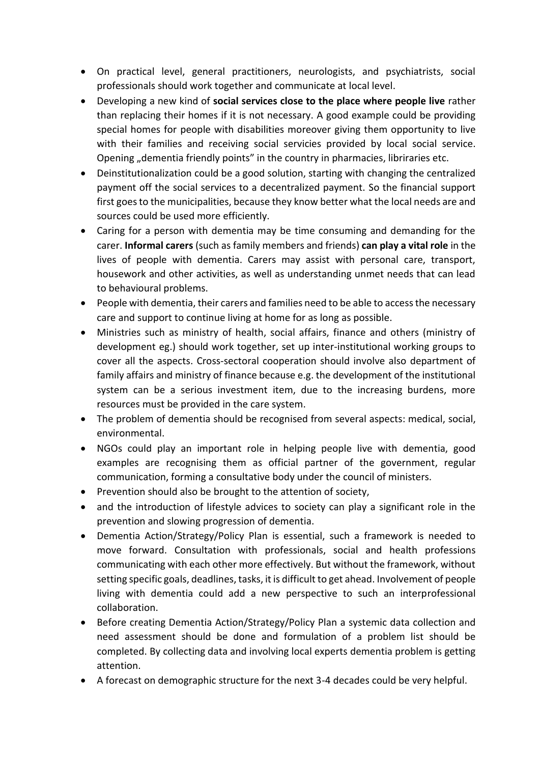- On practical level, general practitioners, neurologists, and psychiatrists, social professionals should work together and communicate at local level.
- Developing a new kind of **social services close to the place where people live** rather than replacing their homes if it is not necessary. A good example could be providing special homes for people with disabilities moreover giving them opportunity to live with their families and receiving social servicies provided by local social service. Opening "dementia friendly points" in the country in pharmacies, libriraries etc.
- Deinstitutionalization could be a good solution, starting with changing the centralized payment off the social services to a decentralized payment. So the financial support first goes to the municipalities, because they know better what the local needs are and sources could be used more efficiently.
- Caring for a person with dementia may be time consuming and demanding for the carer. **Informal carers** (such as family members and friends) **can play a vital role** in the lives of people with dementia. Carers may assist with personal care, transport, housework and other activities, as well as understanding unmet needs that can lead to behavioural problems.
- People with dementia, their carers and families need to be able to access the necessary care and support to continue living at home for as long as possible.
- Ministries such as ministry of health, social affairs, finance and others (ministry of development eg.) should work together, set up inter-institutional working groups to cover all the aspects. Cross-sectoral cooperation should involve also department of family affairs and ministry of finance because e.g. the development of the institutional system can be a serious investment item, due to the increasing burdens, more resources must be provided in the care system.
- The problem of dementia should be recognised from several aspects: medical, social, environmental.
- NGOs could play an important role in helping people live with dementia, good examples are recognising them as official partner of the government, regular communication, forming a consultative body under the council of ministers.
- Prevention should also be brought to the attention of society,
- and the introduction of lifestyle advices to society can play a significant role in the prevention and slowing progression of dementia.
- Dementia Action/Strategy/Policy Plan is essential, such a framework is needed to move forward. Consultation with professionals, social and health professions communicating with each other more effectively. But without the framework, without setting specific goals, deadlines, tasks, it is difficult to get ahead. Involvement of people living with dementia could add a new perspective to such an interprofessional collaboration.
- Before creating Dementia Action/Strategy/Policy Plan a systemic data collection and need assessment should be done and formulation of a problem list should be completed. By collecting data and involving local experts dementia problem is getting attention.
- A forecast on demographic structure for the next 3-4 decades could be very helpful.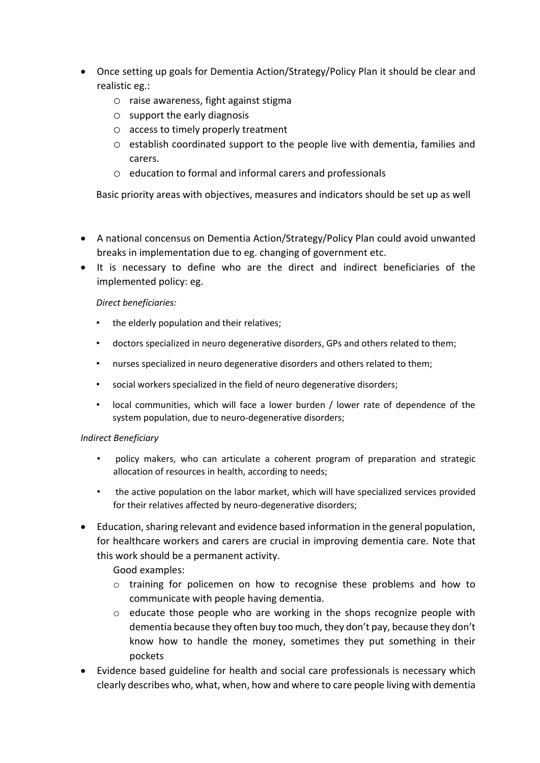- Once setting up goals for Dementia Action/Strategy/Policy Plan it should be clear and realistic eg.:
	- o raise awareness, fight against stigma
	- o support the early diagnosis
	- o access to timely properly treatment
	- o establish coordinated support to the people live with dementia, families and carers.
	- o education to formal and informal carers and professionals

Basic priority areas with objectives, measures and indicators should be set up as well

- A national concensus on Dementia Action/Strategy/Policy Plan could avoid unwanted breaks in implementation due to eg. changing of government etc.
- It is necessary to define who are the direct and indirect beneficiaries of the implemented policy: eg.

#### *Direct beneficiaries:*

- the elderly population and their relatives:
- doctors specialized in neuro degenerative disorders, GPs and others related to them;
- nurses specialized in neuro degenerative disorders and others related to them;
- social workers specialized in the field of neuro degenerative disorders;
- local communities, which will face a lower burden / lower rate of dependence of the system population, due to neuro-degenerative disorders;

#### *Indirect Beneficiary*

- policy makers, who can articulate a coherent program of preparation and strategic allocation of resources in health, according to needs;
- the active population on the labor market, which will have specialized services provided for their relatives affected by neuro-degenerative disorders;
- Education, sharing relevant and evidence based information in the general population, for healthcare workers and carers are crucial in improving dementia care. Note that this work should be a permanent activity.

Good examples:

- o training for policemen on how to recognise these problems and how to communicate with people having dementia.
- $\circ$  educate those people who are working in the shops recognize people with dementia because they often buy too much, they don't pay, because they don't know how to handle the money, sometimes they put something in their pockets
- Evidence based guideline for health and social care professionals is necessary which clearly describes who, what, when, how and where to care people living with dementia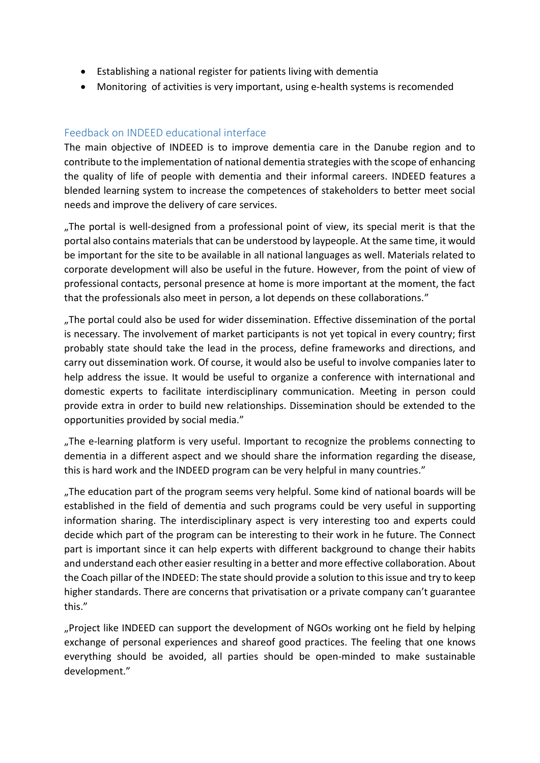- Establishing a national register for patients living with dementia
- Monitoring of activities is very important, using e-health systems is recomended

#### <span id="page-11-0"></span>Feedback on INDEED educational interface

The main objective of INDEED is to improve dementia care in the Danube region and to contribute to the implementation of national dementia strategies with the scope of enhancing the quality of life of people with dementia and their informal careers. INDEED features a blended learning system to increase the competences of stakeholders to better meet social needs and improve the delivery of care services.

"The portal is well-designed from a professional point of view, its special merit is that the portal also contains materials that can be understood by laypeople. At the same time, it would be important for the site to be available in all national languages as well. Materials related to corporate development will also be useful in the future. However, from the point of view of professional contacts, personal presence at home is more important at the moment, the fact that the professionals also meet in person, a lot depends on these collaborations."

"The portal could also be used for wider dissemination. Effective dissemination of the portal is necessary. The involvement of market participants is not yet topical in every country; first probably state should take the lead in the process, define frameworks and directions, and carry out dissemination work. Of course, it would also be useful to involve companies later to help address the issue. It would be useful to organize a conference with international and domestic experts to facilitate interdisciplinary communication. Meeting in person could provide extra in order to build new relationships. Dissemination should be extended to the opportunities provided by social media."

"The e-learning platform is very useful. Important to recognize the problems connecting to dementia in a different aspect and we should share the information regarding the disease, this is hard work and the INDEED program can be very helpful in many countries."

"The education part of the program seems very helpful. Some kind of national boards will be established in the field of dementia and such programs could be very useful in supporting information sharing. The interdisciplinary aspect is very interesting too and experts could decide which part of the program can be interesting to their work in he future. The Connect part is important since it can help experts with different background to change their habits and understand each other easier resulting in a better and more effective collaboration. About the Coach pillar of the INDEED: The state should provide a solution to this issue and try to keep higher standards. There are concerns that privatisation or a private company can't guarantee this."

"Project like INDEED can support the development of NGOs working ont he field by helping exchange of personal experiences and shareof good practices. The feeling that one knows everything should be avoided, all parties should be open-minded to make sustainable development."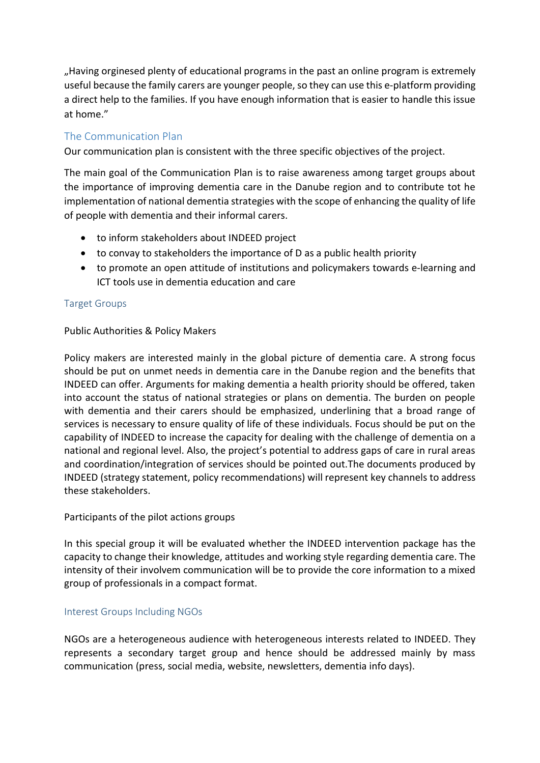"Having orginesed plenty of educational programs in the past an online program is extremely useful because the family carers are younger people, so they can use this e-platform providing a direct help to the families. If you have enough information that is easier to handle this issue at home."

#### <span id="page-12-0"></span>The Communication Plan

Our communication plan is consistent with the three specific objectives of the project.

The main goal of the Communication Plan is to raise awareness among target groups about the importance of improving dementia care in the Danube region and to contribute tot he implementation of national dementia strategies with the scope of enhancing the quality of life of people with dementia and their informal carers.

- to inform stakeholders about INDEED project
- to convay to stakeholders the importance of D as a public health priority
- to promote an open attitude of institutions and policymakers towards e-learning and ICT tools use in dementia education and care

#### <span id="page-12-1"></span>Target Groups

#### Public Authorities & Policy Makers

Policy makers are interested mainly in the global picture of dementia care. A strong focus should be put on unmet needs in dementia care in the Danube region and the benefits that INDEED can offer. Arguments for making dementia a health priority should be offered, taken into account the status of national strategies or plans on dementia. The burden on people with dementia and their carers should be emphasized, underlining that a broad range of services is necessary to ensure quality of life of these individuals. Focus should be put on the capability of INDEED to increase the capacity for dealing with the challenge of dementia on a national and regional level. Also, the project's potential to address gaps of care in rural areas and coordination/integration of services should be pointed out.The documents produced by INDEED (strategy statement, policy recommendations) will represent key channels to address these stakeholders.

#### Participants of the pilot actions groups

In this special group it will be evaluated whether the INDEED intervention package has the capacity to change their knowledge, attitudes and working style regarding dementia care. The intensity of their involvem communication will be to provide the core information to a mixed group of professionals in a compact format.

#### <span id="page-12-2"></span>Interest Groups Including NGOs

NGOs are a heterogeneous audience with heterogeneous interests related to INDEED. They represents a secondary target group and hence should be addressed mainly by mass communication (press, social media, website, newsletters, dementia info days).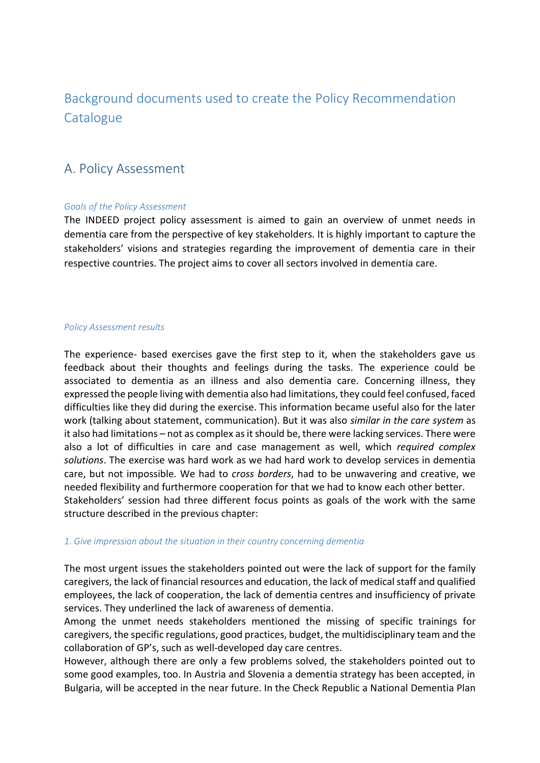## <span id="page-13-0"></span>Background documents used to create the Policy Recommendation **Catalogue**

### <span id="page-13-1"></span>A. Policy Assessment

#### *Goals of the Policy Assessment*

The INDEED project policy assessment is aimed to gain an overview of unmet needs in dementia care from the perspective of key stakeholders. It is highly important to capture the stakeholders' visions and strategies regarding the improvement of dementia care in their respective countries. The project aims to cover all sectors involved in dementia care.

#### *Policy Assessment results*

The experience- based exercises gave the first step to it, when the stakeholders gave us feedback about their thoughts and feelings during the tasks. The experience could be associated to dementia as an illness and also dementia care. Concerning illness, they expressed the people living with dementia also had limitations, they could feel confused, faced difficulties like they did during the exercise. This information became useful also for the later work (talking about statement, communication). But it was also *similar in the care system* as it also had limitations – not as complex as it should be, there were lacking services. There were also a lot of difficulties in care and case management as well, which *required complex solutions*. The exercise was hard work as we had hard work to develop services in dementia care, but not impossible. We had to *cross borders*, had to be unwavering and creative, we needed flexibility and furthermore cooperation for that we had to know each other better. Stakeholders' session had three different focus points as goals of the work with the same structure described in the previous chapter:

#### *1. Give impression about the situation in their country concerning dementia*

The most urgent issues the stakeholders pointed out were the lack of support for the family caregivers, the lack of financial resources and education, the lack of medical staff and qualified employees, the lack of cooperation, the lack of dementia centres and insufficiency of private services. They underlined the lack of awareness of dementia.

Among the unmet needs stakeholders mentioned the missing of specific trainings for caregivers, the specific regulations, good practices, budget, the multidisciplinary team and the collaboration of GP's, such as well-developed day care centres.

However, although there are only a few problems solved, the stakeholders pointed out to some good examples, too. In Austria and Slovenia a dementia strategy has been accepted, in Bulgaria, will be accepted in the near future. In the Check Republic a National Dementia Plan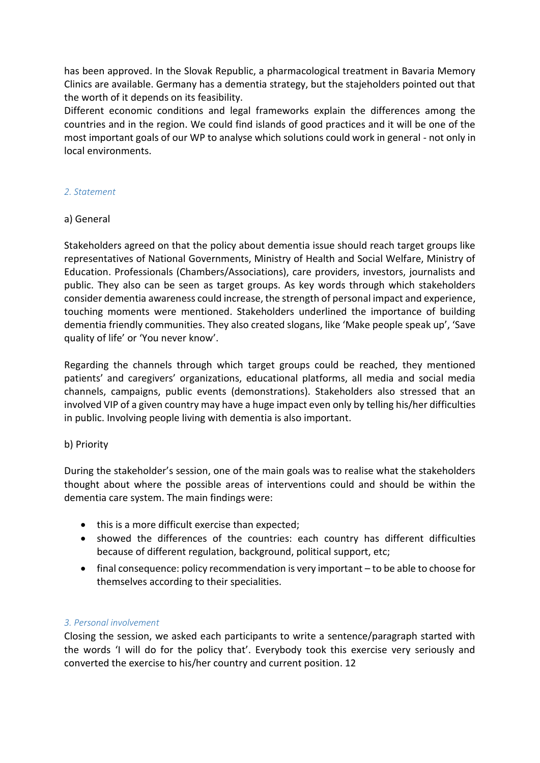has been approved. In the Slovak Republic, a pharmacological treatment in Bavaria Memory Clinics are available. Germany has a dementia strategy, but the stajeholders pointed out that the worth of it depends on its feasibility.

Different economic conditions and legal frameworks explain the differences among the countries and in the region. We could find islands of good practices and it will be one of the most important goals of our WP to analyse which solutions could work in general - not only in local environments.

#### *2. Statement*

#### a) General

Stakeholders agreed on that the policy about dementia issue should reach target groups like representatives of National Governments, Ministry of Health and Social Welfare, Ministry of Education. Professionals (Chambers/Associations), care providers, investors, journalists and public. They also can be seen as target groups. As key words through which stakeholders consider dementia awareness could increase, the strength of personal impact and experience, touching moments were mentioned. Stakeholders underlined the importance of building dementia friendly communities. They also created slogans, like 'Make people speak up', 'Save quality of life' or 'You never know'.

Regarding the channels through which target groups could be reached, they mentioned patients' and caregivers' organizations, educational platforms, all media and social media channels, campaigns, public events (demonstrations). Stakeholders also stressed that an involved VIP of a given country may have a huge impact even only by telling his/her difficulties in public. Involving people living with dementia is also important.

#### b) Priority

During the stakeholder's session, one of the main goals was to realise what the stakeholders thought about where the possible areas of interventions could and should be within the dementia care system. The main findings were:

- this is a more difficult exercise than expected;
- showed the differences of the countries: each country has different difficulties because of different regulation, background, political support, etc;
- final consequence: policy recommendation is very important to be able to choose for themselves according to their specialities.

#### *3. Personal involvement*

Closing the session, we asked each participants to write a sentence/paragraph started with the words 'I will do for the policy that'. Everybody took this exercise very seriously and converted the exercise to his/her country and current position. 12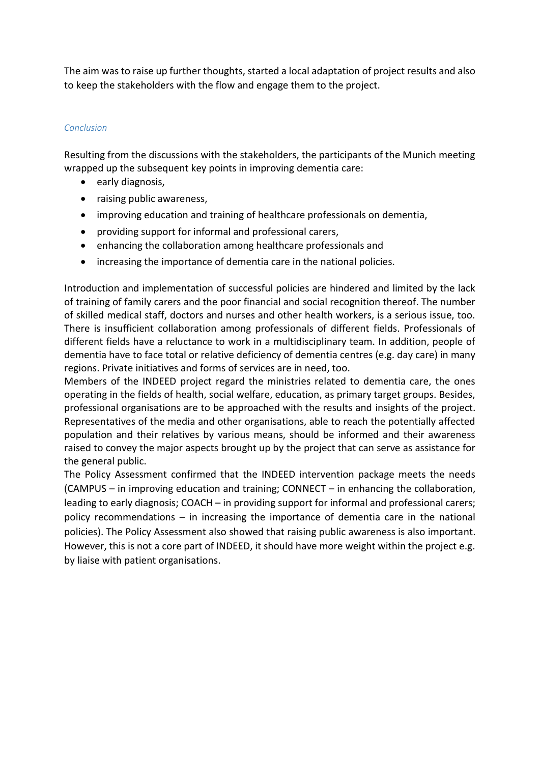The aim was to raise up further thoughts, started a local adaptation of project results and also to keep the stakeholders with the flow and engage them to the project.

#### *Conclusion*

Resulting from the discussions with the stakeholders, the participants of the Munich meeting wrapped up the subsequent key points in improving dementia care:

- early diagnosis,
- raising public awareness,
- improving education and training of healthcare professionals on dementia,
- providing support for informal and professional carers,
- enhancing the collaboration among healthcare professionals and
- increasing the importance of dementia care in the national policies.

Introduction and implementation of successful policies are hindered and limited by the lack of training of family carers and the poor financial and social recognition thereof. The number of skilled medical staff, doctors and nurses and other health workers, is a serious issue, too. There is insufficient collaboration among professionals of different fields. Professionals of different fields have a reluctance to work in a multidisciplinary team. In addition, people of dementia have to face total or relative deficiency of dementia centres (e.g. day care) in many regions. Private initiatives and forms of services are in need, too.

Members of the INDEED project regard the ministries related to dementia care, the ones operating in the fields of health, social welfare, education, as primary target groups. Besides, professional organisations are to be approached with the results and insights of the project. Representatives of the media and other organisations, able to reach the potentially affected population and their relatives by various means, should be informed and their awareness raised to convey the major aspects brought up by the project that can serve as assistance for the general public.

The Policy Assessment confirmed that the INDEED intervention package meets the needs (CAMPUS – in improving education and training; CONNECT – in enhancing the collaboration, leading to early diagnosis; COACH – in providing support for informal and professional carers; policy recommendations – in increasing the importance of dementia care in the national policies). The Policy Assessment also showed that raising public awareness is also important. However, this is not a core part of INDEED, it should have more weight within the project e.g. by liaise with patient organisations.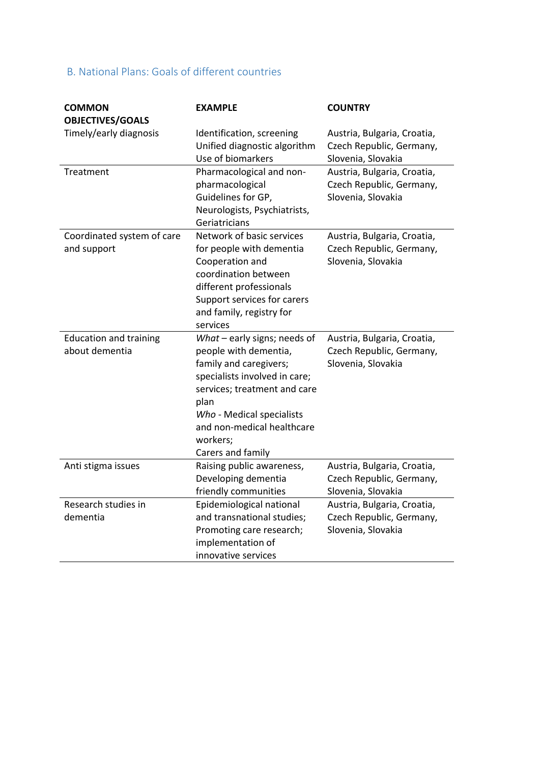### <span id="page-16-0"></span>B. National Plans: Goals of different countries

| <b>COMMON</b>                 | <b>EXAMPLE</b>                 | <b>COUNTRY</b>              |
|-------------------------------|--------------------------------|-----------------------------|
| <b>OBJECTIVES/GOALS</b>       |                                |                             |
| Timely/early diagnosis        | Identification, screening      | Austria, Bulgaria, Croatia, |
|                               | Unified diagnostic algorithm   | Czech Republic, Germany,    |
|                               | Use of biomarkers              | Slovenia, Slovakia          |
| Treatment                     | Pharmacological and non-       | Austria, Bulgaria, Croatia, |
|                               | pharmacological                | Czech Republic, Germany,    |
|                               | Guidelines for GP,             | Slovenia, Slovakia          |
|                               | Neurologists, Psychiatrists,   |                             |
|                               | Geriatricians                  |                             |
| Coordinated system of care    | Network of basic services      | Austria, Bulgaria, Croatia, |
| and support                   | for people with dementia       | Czech Republic, Germany,    |
|                               | Cooperation and                | Slovenia, Slovakia          |
|                               | coordination between           |                             |
|                               | different professionals        |                             |
|                               | Support services for carers    |                             |
|                               | and family, registry for       |                             |
|                               | services                       |                             |
| <b>Education and training</b> | What $-$ early signs; needs of | Austria, Bulgaria, Croatia, |
| about dementia                | people with dementia,          | Czech Republic, Germany,    |
|                               | family and caregivers;         | Slovenia, Slovakia          |
|                               | specialists involved in care;  |                             |
|                               | services; treatment and care   |                             |
|                               | plan                           |                             |
|                               | Who - Medical specialists      |                             |
|                               | and non-medical healthcare     |                             |
|                               | workers;                       |                             |
|                               | Carers and family              |                             |
| Anti stigma issues            | Raising public awareness,      | Austria, Bulgaria, Croatia, |
|                               | Developing dementia            | Czech Republic, Germany,    |
|                               | friendly communities           | Slovenia, Slovakia          |
| Research studies in           | Epidemiological national       | Austria, Bulgaria, Croatia, |
| dementia                      | and transnational studies;     | Czech Republic, Germany,    |
|                               | Promoting care research;       | Slovenia, Slovakia          |
|                               | implementation of              |                             |
|                               | innovative services            |                             |